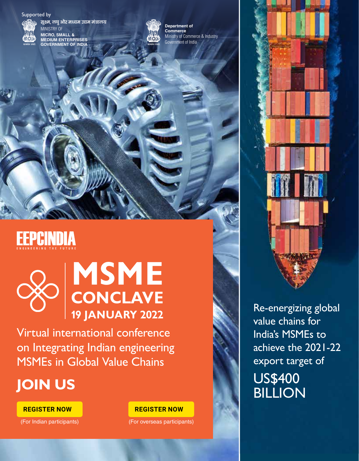### Supported by



**सूक्ष्म, लघु और मध्यम उद्यम मंत्रालय** MINISTRY OF **MICRO, SMALL & MEDIUM ENTERPRISES GOVERNMENT OF INDIA**



Ministry of Commerce & Industry **Department of Commerce** Government of India

# **EEPCINDIA**



# **19 JANUARY 2022 [MSME](https://eepcvirtualexpo.com/indiasmegvc) CONCLAVE**

Virtual international conference on Integrating Indian engineering MSMEs in Global Value Chains

## **JOIN US**

**[REGISTER NOW](https://eepcvirtualexpo.com/conference_management/conference_registration/MjY/OQ) [REGISTER NOW](https://eepcvirtualexpo.com/conference_management/conference_registration_overseas/MjY/OQ/w/all/all)**

(For Indian participants) (For overseas participants)



Re-energizing global value chains for India's MSMEs to achieve the 2021-22 export target of US\$400<br>BILLION